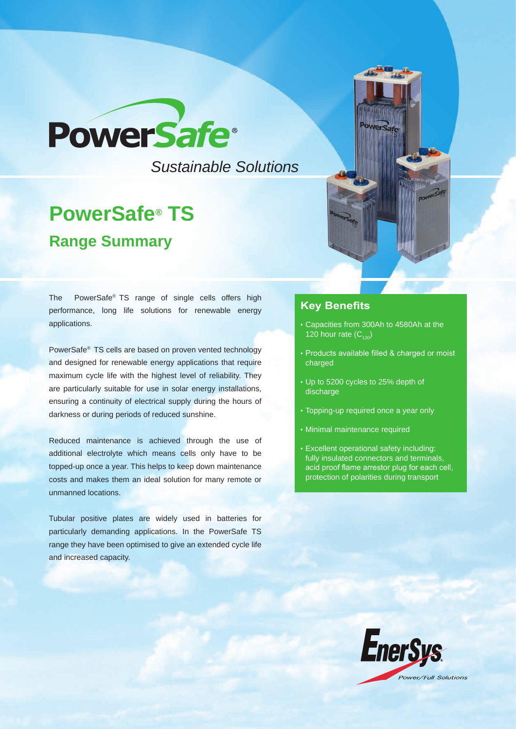

*Sustainable Solutions*

# **PowerSafe® TS Range Summary**

The PowerSafe® TS range of single cells offers high performance, long life solutions for renewable energy applications.

PowerSafe® TS cells are based on proven vented technology and designed for renewable energy applications that require maximum cycle life with the highest level of reliability. They are particularly suitable for use in solar energy installations, ensuring a continuity of electrical supply during the hours of darkness or during periods of reduced sunshine.

Reduced maintenance is achieved through the use of additional electrolyte which means cells only have to be topped-up once a year. This helps to keep down maintenance costs and makes them an ideal solution for many remote or unmanned locations.

Tubular positive plates are widely used in batteries for particularly demanding applications. In the PowerSafe TS range they have been optimised to give an extended cycle life and increased capacity.

#### **Key Benefits**

- Capacities from 300Ah to 4580Ah at the 120 hour rate  $(C_{120})$
- Products available filled & charged or moist charged
- Up to 5200 cycles to 25% depth of discharge
- Topping-up required once a year only
- Minimal maintenance required
- Excellent operational safety including: fully insulated connectors and terminals, acid proof flame arrestor plug for each cell, protection of polarities during transport

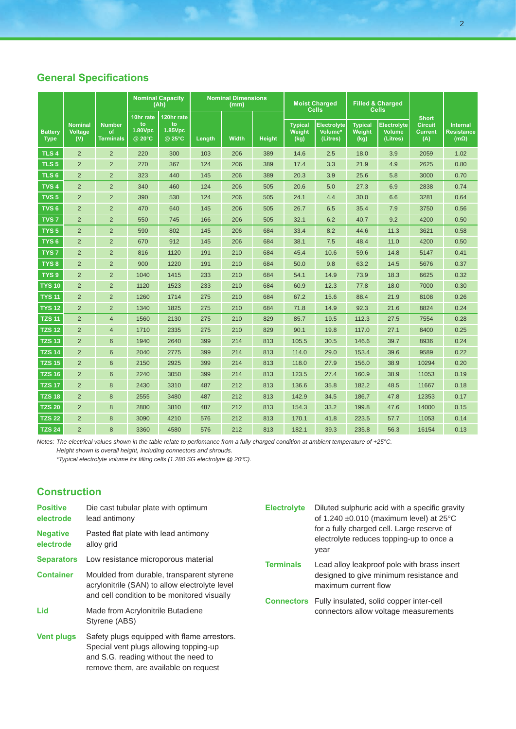## **General Specifications**

|                               |                                  |                                         |                                      | <b>Nominal Capacity</b><br>(Ah)       | <b>Nominal Dimensions</b><br>(mm) |              | <b>Moist Charged</b><br><b>Cells</b> |                                  | <b>Filled &amp; Charged</b><br><b>Cells</b> |                                  |                                                 |                                                         |                                                     |
|-------------------------------|----------------------------------|-----------------------------------------|--------------------------------------|---------------------------------------|-----------------------------------|--------------|--------------------------------------|----------------------------------|---------------------------------------------|----------------------------------|-------------------------------------------------|---------------------------------------------------------|-----------------------------------------------------|
| <b>Battery</b><br><b>Type</b> | <b>Nominal</b><br>Voltage<br>(V) | <b>Number</b><br>of<br><b>Terminals</b> | 10hr rate<br>to<br>1.80Vpc<br>@ 20°C | 120hr rate<br>to<br>1.85Vpc<br>@ 25°C | Length                            | <b>Width</b> | <b>Height</b>                        | <b>Typical</b><br>Weight<br>(kg) | <b>Electrolyte</b><br>Volume*<br>(Litres)   | <b>Typical</b><br>Weight<br>(kg) | <b>Electrolyte</b><br><b>Volume</b><br>(Litres) | <b>Short</b><br><b>Circuit</b><br><b>Current</b><br>(A) | <b>Internal</b><br><b>Resistance</b><br>$(m\Omega)$ |
| TLS <sub>4</sub>              | $\overline{2}$                   | 2                                       | 220                                  | 300                                   | 103                               | 206          | 389                                  | 14.6                             | 2.5                                         | 18.0                             | 3.9                                             | 2059                                                    | 1.02                                                |
| TLS <sub>5</sub>              | $\overline{2}$                   | $\overline{2}$                          | 270                                  | 367                                   | 124                               | 206          | 389                                  | 17.4                             | 3.3                                         | 21.9                             | 4.9                                             | 2625                                                    | 0.80                                                |
| TLS <sub>6</sub>              | $\overline{2}$                   | $\overline{2}$                          | 323                                  | 440                                   | 145                               | 206          | 389                                  | 20.3                             | 3.9                                         | 25.6                             | 5.8                                             | 3000                                                    | 0.70                                                |
| TVS <sub>4</sub>              | $\overline{2}$                   | 2                                       | 340                                  | 460                                   | 124                               | 206          | 505                                  | 20.6                             | 5.0                                         | 27.3                             | 6.9                                             | 2838                                                    | 0.74                                                |
| TVS <sub>5</sub>              | $\overline{2}$                   | $\overline{2}$                          | 390                                  | 530                                   | 124                               | 206          | 505                                  | 24.1                             | 4.4                                         | 30.0                             | 6.6                                             | 3281                                                    | 0.64                                                |
| TVS <sub>6</sub>              | $\overline{2}$                   | $\overline{2}$                          | 470                                  | 640                                   | 145                               | 206          | 505                                  | 26.7                             | 6.5                                         | 35.4                             | 7.9                                             | 3750                                                    | 0.56                                                |
| TVS <sub>7</sub>              | $\overline{2}$                   | $\overline{2}$                          | 550                                  | 745                                   | 166                               | 206          | 505                                  | 32.1                             | 6.2                                         | 40.7                             | 9.2                                             | 4200                                                    | 0.50                                                |
| TYS <sub>5</sub>              | $\overline{2}$                   | 2                                       | 590                                  | 802                                   | 145                               | 206          | 684                                  | 33.4                             | 8.2                                         | 44.6                             | 11.3                                            | 3621                                                    | 0.58                                                |
| TYS <sub>6</sub>              | $\overline{2}$                   | 2                                       | 670                                  | 912                                   | 145                               | 206          | 684                                  | 38.1                             | 7.5                                         | 48.4                             | 11.0                                            | 4200                                                    | 0.50                                                |
| TYS $7$                       | $\overline{2}$                   | 2                                       | 816                                  | 1120                                  | 191                               | 210          | 684                                  | 45.4                             | 10.6                                        | 59.6                             | 14.8                                            | 5147                                                    | 0.41                                                |
| TYS <sub>8</sub>              | $\overline{2}$                   | 2                                       | 900                                  | 1220                                  | 191                               | 210          | 684                                  | 50.0                             | 9.8                                         | 63.2                             | 14.5                                            | 5676                                                    | 0.37                                                |
| TYS <sub>9</sub>              | $\overline{2}$                   | $\overline{2}$                          | 1040                                 | 1415                                  | 233                               | 210          | 684                                  | 54.1                             | 14.9                                        | 73.9                             | 18.3                                            | 6625                                                    | 0.32                                                |
| <b>TYS 10</b>                 | $\overline{2}$                   | $\overline{2}$                          | 1120                                 | 1523                                  | 233                               | 210          | 684                                  | 60.9                             | 12.3                                        | 77.8                             | 18.0                                            | 7000                                                    | 0.30                                                |
| <b>TYS 11</b>                 | $\overline{2}$                   | $\overline{2}$                          | 1260                                 | 1714                                  | 275                               | 210          | 684                                  | 67.2                             | 15.6                                        | 88.4                             | 21.9                                            | 8108                                                    | 0.26                                                |
| <b>TYS 12</b>                 | $\overline{2}$                   | $\overline{2}$                          | 1340                                 | 1825                                  | 275                               | 210          | 684                                  | 71.8                             | 14.9                                        | 92.3                             | 21.6                                            | 8824                                                    | 0.24                                                |
| <b>TZS 11</b>                 | $\overline{2}$                   | $\overline{4}$                          | 1560                                 | 2130                                  | 275                               | 210          | 829                                  | 85.7                             | 19.5                                        | 112.3                            | 27.5                                            | 7554                                                    | 0.28                                                |
| <b>TZS 12</b>                 | $\overline{2}$                   | $\overline{4}$                          | 1710                                 | 2335                                  | 275                               | 210          | 829                                  | 90.1                             | 19.8                                        | 117.0                            | 27.1                                            | 8400                                                    | 0.25                                                |
| <b>TZS 13</b>                 | $\overline{2}$                   | 6                                       | 1940                                 | 2640                                  | 399                               | 214          | 813                                  | 105.5                            | 30.5                                        | 146.6                            | 39.7                                            | 8936                                                    | 0.24                                                |
| <b>TZS 14</b>                 | $\overline{2}$                   | 6                                       | 2040                                 | 2775                                  | 399                               | 214          | 813                                  | 114.0                            | 29.0                                        | 153.4                            | 39.6                                            | 9589                                                    | 0.22                                                |
| <b>TZS 15</b>                 | $\overline{2}$                   | $6\phantom{1}6$                         | 2150                                 | 2925                                  | 399                               | 214          | 813                                  | 118.0                            | 27.9                                        | 156.0                            | 38.9                                            | 10294                                                   | 0.20                                                |
| <b>TZS 16</b>                 | $\overline{2}$                   | $6\phantom{1}$                          | 2240                                 | 3050                                  | 399                               | 214          | 813                                  | 123.5                            | 27.4                                        | 160.9                            | 38.9                                            | 11053                                                   | 0.19                                                |
| <b>TZS 17</b>                 | $\overline{2}$                   | 8                                       | 2430                                 | 3310                                  | 487                               | 212          | 813                                  | 136.6                            | 35.8                                        | 182.2                            | 48.5                                            | 11667                                                   | 0.18                                                |
| <b>TZS 18</b>                 | $\overline{2}$                   | $\boldsymbol{8}$                        | 2555                                 | 3480                                  | 487                               | 212          | 813                                  | 142.9                            | 34.5                                        | 186.7                            | 47.8                                            | 12353                                                   | 0.17                                                |
| <b>TZS 20</b>                 | $\overline{2}$                   | 8                                       | 2800                                 | 3810                                  | 487                               | 212          | 813                                  | 154.3                            | 33.2                                        | 199.8                            | 47.6                                            | 14000                                                   | 0.15                                                |
| <b>TZS 22</b>                 | $\overline{2}$                   | 8                                       | 3090                                 | 4210                                  | 576                               | 212          | 813                                  | 170.1                            | 41.8                                        | 223.5                            | 57.7                                            | 11053                                                   | 0.14                                                |
| <b>TZS 24</b>                 | $\overline{2}$                   | 8                                       | 3360                                 | 4580                                  | 576                               | 212          | 813                                  | 182.1                            | 39.3                                        | 235.8                            | 56.3                                            | 16154                                                   | 0.13                                                |

*Notes: The electrical values shown in the table relate to perfomance from a fully charged condition at ambient temperature of +25°C.*

*Height shown is overall height, including connectors and shrouds.*

*\*Typical electrolyte volume for filling cells (1.280 SG electrolyte @ 20ºC).*

# **Construction**

| <b>Positive</b><br>electrode | Die cast tubular plate with optimum<br>lead antimony                                                                                                                   |  |  |  |  |
|------------------------------|------------------------------------------------------------------------------------------------------------------------------------------------------------------------|--|--|--|--|
| <b>Negative</b><br>electrode | Pasted flat plate with lead antimony<br>alloy grid                                                                                                                     |  |  |  |  |
| <b>Separators</b>            | Low resistance microporous material                                                                                                                                    |  |  |  |  |
| <b>Container</b>             | Moulded from durable, transparent styrene<br>acrylonitrile (SAN) to allow electrolyte level<br>and cell condition to be monitored visually                             |  |  |  |  |
| Lid                          | Made from Acrylonitrile Butadiene<br>Styrene (ABS)                                                                                                                     |  |  |  |  |
| <b>Vent plugs</b>            | Safety plugs equipped with flame arrestors.<br>Special vent plugs allowing topping-up<br>and S.G. reading without the need to<br>remove them, are available on request |  |  |  |  |

| <b>Electrolyte</b> | Diluted sulphuric acid with a specific gravity         |
|--------------------|--------------------------------------------------------|
|                    | of 1.240 $\pm$ 0.010 (maximum level) at 25 $\degree$ C |
|                    | for a fully charged cell. Large reserve of             |
|                    | electrolyte reduces topping-up to once a               |
|                    | year                                                   |
|                    |                                                        |

**Terminals** Lead alloy leakproof pole with brass insert designed to give minimum resistance and maximum current flow

**Connectors** Fully insulated, solid copper inter-cell connectors allow voltage measurements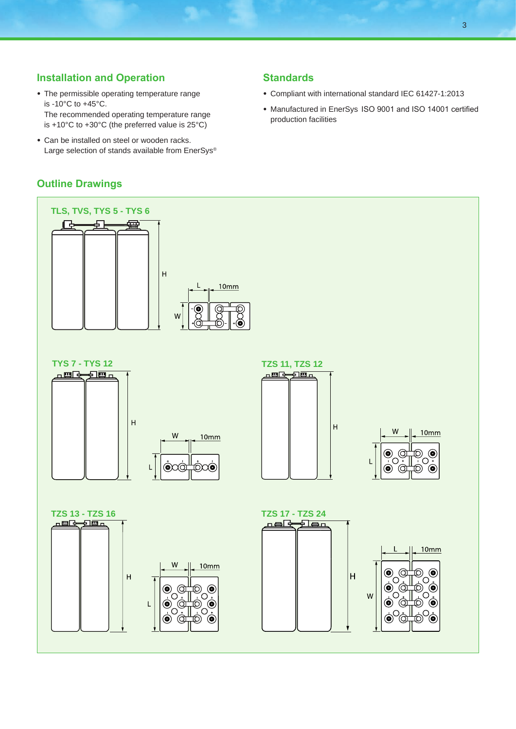### **Installation and Operation**

- The permissible operating temperature range is -10°C to +45°C. The recommended operating temperature range is +10°C to +30°C (the preferred value is 25°C)
- Can be installed on steel or wooden racks. Large selection of stands available from EnerSys®

## **Outline Drawings**

#### **Standards**

- • Compliant with international standard IEC 61427-1:2013
- • Manufactured in EnerSys ISO 9001 and ISO 14001 certified production facilities